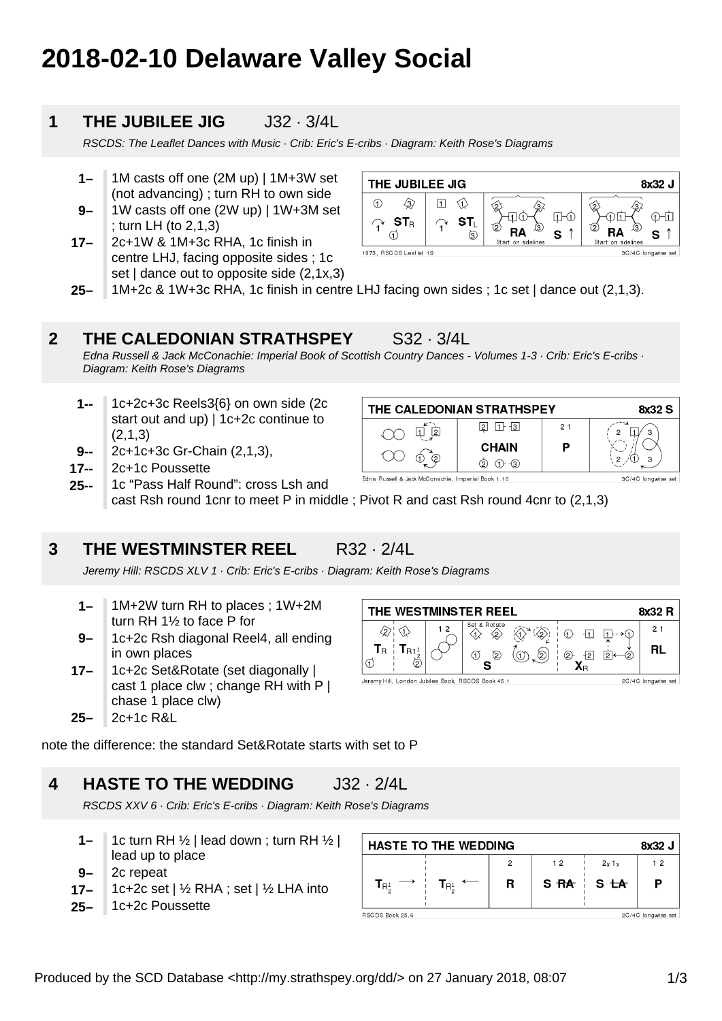# **2018-02-10 Delaware Valley Social**

## **1 THE JUBILEE JIG** J32 · 3/4L

RSCDS: The Leaflet Dances with Music · Crib: Eric's E-cribs · Diagram: Keith Rose's Diagrams

- **1–** 1M casts off one (2M up) | 1M+3W set (not advancing) ; turn RH to own side
- **9–** 1W casts off one (2W up) | 1W+3M set ; turn LH (to 2,1,3)
- **17–** 2c+1W & 1M+3c RHA, 1c finish in centre LHJ, facing opposite sides ; 1c set | dance out to opposite side (2,1x,3)



**25–** 1M+2c & 1W+3c RHA, 1c finish in centre LHJ facing own sides ; 1c set | dance out (2,1,3).

### **2 THE CALEDONIAN STRATHSPEY** S32 · 3/4L

Edna Russell & Jack McConachie: Imperial Book of Scottish Country Dances - Volumes 1-3 · Crib: Eric's E-cribs · Diagram: Keith Rose's Diagrams

- **1--** 1c+2c+3c Reels3{6} on own side (2c start out and up) | 1c+2c continue to (2,1,3)
- **9--** 2c+1c+3c Gr-Chain (2,1,3),
- **17--** 2c+1c Poussette
- Edna Russell & Jack McConachie, Imperial Book 1.10 1c "Pass Half Round": cross Lsh and **25-** cast Rsh round 1cnr to meet P in middle ; Pivot R and cast Rsh round 4cnr to (2,1,3)

## **3 THE WESTMINSTER REEL** R32 · 2/4L

Jeremy Hill: RSCDS XLV 1 · Crib: Eric's E-cribs · Diagram: Keith Rose's Diagrams

- **1–** 1M+2W turn RH to places ; 1W+2M turn RH 1½ to face P for
- **9–** 1c+2c Rsh diagonal Reel4, all ending in own places
- **17–** 1c+2c Set&Rotate (set diagonally | cast 1 place clw ; change RH with P | chase 1 place clw)
- **25–** 2c+1c R&L

THE WESTMINSTER REEL 8x32 R et & Rotate  $21$  $\hat{\varphi}$   $\hat{\varphi}$  $1<sub>2</sub>$ 谷分  $①$   $1$   $1$  $\langle \hat{v} \rangle$  $T_{R1<sup>1</sup>}$  $T_{\rm R}$ **RL**  $\sigma$ の (ത  $(2)$  $\overline{2}$  $\overline{2}$  $\mathfrak{D}$ ゟ s Jeremy Hill, London Jubilee Book, RSCDS Book 45.1 2C/4C longwise set.

note the difference: the standard Set&Rotate starts with set to P

## **4 HASTE TO THE WEDDING** J32 · 2/4L

RSCDS XXV 6 · Crib: Eric's E-cribs · Diagram: Keith Rose's Diagrams

- **1–** 1c turn RH  $\frac{1}{2}$  | lead down; turn RH  $\frac{1}{2}$  | lead up to place
- **9–** 2c repeat
- **17–** 1c+2c set | ½ RHA ; set | ½ LHA into
- **25–** 1c+2c Poussette

| <b>HASTE TO THE WEDDING</b><br>8x32 J                     |   |    |             |                     |
|-----------------------------------------------------------|---|----|-------------|---------------------|
|                                                           |   | 12 | 2x1x        | 12                  |
| $T_{\mathsf{R}^1_\kappa}$ $\longleftarrow$<br>$T_{R_2^1}$ | R |    | $SAA$ $SAA$ | P                   |
| RSCDS Book 25.6                                           |   |    |             | 2C/4C longwise set. |

THE CALEDONIAN STRATHSPEY

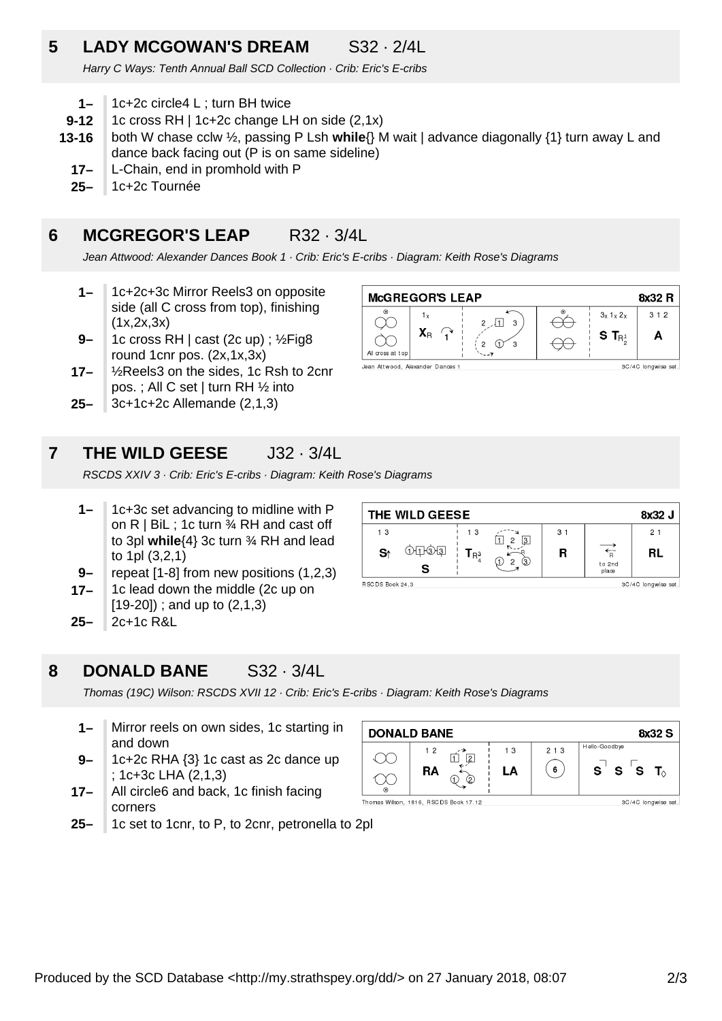## **5 LADY MCGOWAN'S DREAM** S32 · 2/4L

Harry C Ways: Tenth Annual Ball SCD Collection · Crib: Eric's E-cribs

- **1–** 1c+2c circle4 L ; turn BH twice
- **9-12** 1c cross RH | 1c+2c change LH on side (2,1x)
- **13-16** both W chase cclw ½, passing P Lsh **while**{} M wait | advance diagonally {1} turn away L and dance back facing out (P is on same sideline)
	- **17–** L-Chain, end in promhold with P
	- **25–** 1c+2c Tournée

## **6 MCGREGOR'S LEAP** R32 · 3/4L

Jean Attwood: Alexander Dances Book 1 · Crib: Eric's E-cribs · Diagram: Keith Rose's Diagrams

- **1–** 1c+2c+3c Mirror Reels3 on opposite side (all C cross from top), finishing  $(1x, 2x, 3x)$
- **9–** 1c cross RH | cast (2c up) ; ½Fig8 round 1cnr pos. (2x,1x,3x)
- **17–** ½Reels3 on the sides, 1c Rsh to 2cnr pos. ; All C set | turn RH ½ into
- **25–** 3c+1c+2c Allemande (2,1,3)

#### **McGREGOR'S LEAP** 8x32 R  $312$  $3x$  1 x 2 x  $1<sub>x</sub>$ ↔  $2 \sqrt{1}$  3 Y  $X_{R}$  $S$   $T_{R}$ <sup>1</sup> A  $\curvearrowright$  $2 \oplus$ All cross at to Jean Attwood, Alexander Dances 3C/4C longwise set.

## **7 THE WILD GEESE** J32 · 3/4L

RSCDS XXIV 3 · Crib: Eric's E-cribs · Diagram: Keith Rose's Diagrams

- **1–** 1c+3c set advancing to midline with P on R | BiL ; 1c turn ¾ RH and cast off to 3pl **while**{4} 3c turn ¾ RH and lead to 1pl (3,2,1)
- **9–** repeat [1-8] from new positions (1,2,3)
- **17–** 1c lead down the middle (2c up on [19-20]) ; and up to (2,1,3)
- **25–** 2c+1c R&L

## **8 DONALD BANE** S32 · 3/4L

Thomas (19C) Wilson: RSCDS XVII 12 · Crib: Eric's E-cribs · Diagram: Keith Rose's Diagrams

- **1–** Mirror reels on own sides, 1c starting in and down
- **9–** 1c+2c RHA {3} 1c cast as 2c dance up ; 1c+3c LHA (2,1,3)
- **17–** All circle6 and back, 1c finish facing corners
- **25–** 1c set to 1cnr, to P, to 2cnr, petronella to 2pl